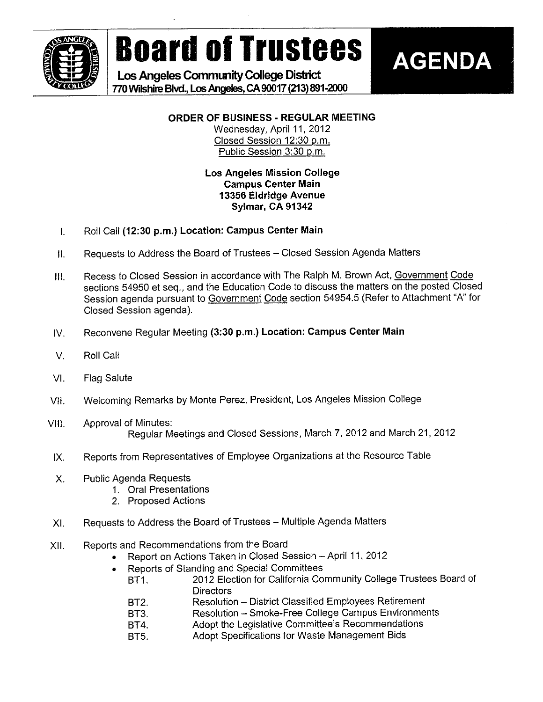

**Board of Trustees** 

Los Angeles Community College District 770 Wilshire Blvd., Los Angeles, CA 90017 (213) 891-2000

### **AGENDA**

### ORDER OF BUSINESS - REGULAR MEETING

Wednesday, April 11, 2012 Closed Session 12:30 p.m. Public Session 3:30 p.m.

#### **Los Angeles Mission College Campus Center Main** 13356 Eldridge Avenue Sylmar, CA 91342

- Roll Call (12:30 p.m.) Location: Campus Center Main  $\mathbf{L}$
- Requests to Address the Board of Trustees Closed Session Agenda Matters  $\mathbf{II}$
- Recess to Closed Session in accordance with The Ralph M. Brown Act, Government Code III. sections 54950 et seq., and the Education Code to discuss the matters on the posted Closed Session agenda pursuant to Government Code section 54954.5 (Refer to Attachment "A" for Closed Session agenda).
- Reconvene Regular Meeting (3:30 p.m.) Location: Campus Center Main IV.
- $V_{\cdot}$ Roll Call
- VI. **Flag Salute**
- Welcoming Remarks by Monte Perez, President, Los Angeles Mission College VII.
- **Approval of Minutes:** VIII. Regular Meetings and Closed Sessions, March 7, 2012 and March 21, 2012
- Reports from Representatives of Employee Organizations at the Resource Table IX.
- $X$ . **Public Agenda Requests** 
	- 1. Oral Presentations
	- 2. Proposed Actions
- Requests to Address the Board of Trustees Multiple Agenda Matters XI.
- Reports and Recommendations from the Board  $XII.$ 
	- Report on Actions Taken in Closed Session April 11, 2012
	- Reports of Standing and Special Committees
		- 2012 Election for California Community College Trustees Board of BT1. **Directors**
		- Resolution District Classified Employees Retirement **BT2.**
		- Resolution Smoke-Free College Campus Environments **BT3.**
		- Adopt the Legislative Committee's Recommendations **BT4.**
		- Adopt Specifications for Waste Management Bids BT5.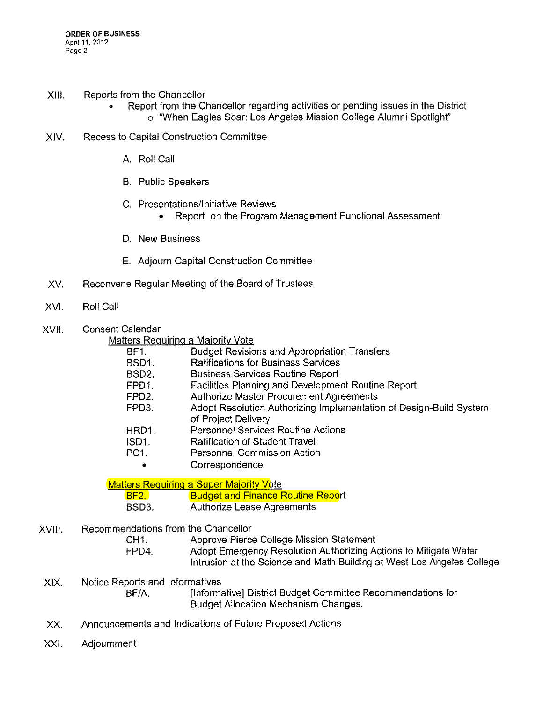- XIII. Reports from the Chancellor
	- Report from the Chancellor regarding activities or pending issues in the District . o "When Eagles Soar: Los Angeles Mission Coilege Alumni Spotlight"
- XIV. Recess to Capital Construction Committee
	- A. Roil Call
	- B. Public Speakers
	- C. Presentations/lnitiative Reviews
		- Report on the Program Management Functional Assessment
	- D. New Business
	- E. Adjourn Capital Construction Committee
- XV. Reconvene Regular Meeting of the Board of Trustees
- XVI. Roll Call
- XVII. Consent Calendar

#### Matters Requiring a Majority Vote

| <b>BF1.</b>        | <b>Budget Revisions and Appropriation Transfers</b>                |
|--------------------|--------------------------------------------------------------------|
| BSD <sub>1</sub>   | <b>Ratifications for Business Services</b>                         |
| BSD <sub>2</sub> . | <b>Business Services Routine Report</b>                            |
| FPD1.              | Facilities Planning and Development Routine Report                 |
| FPD <sub>2</sub>   | Authorize Master Procurement Agreements                            |
| FPD3.              | Adopt Resolution Authorizing Implementation of Design-Build System |
|                    | of Project Delivery                                                |
| HRD1.              | Personnel Services Routine Actions                                 |
| ISD1.              | <b>Ratification of Student Travel</b>                              |
| PC <sub>1</sub>    | <b>Personnel Commission Action</b>                                 |
| ۰                  | Correspondence                                                     |
|                    |                                                                    |

**Matters Requiring a Super Majority Vote** BF2. **Budget and Finance Routine Report** BSD3. Authorize Lease Agreements

XVIII. Recommendations from the Chancellor

CH1. Approve Pierce College Mission Statement<br>FPD4. Adopt Emergency Resolution Authorizing A Adopt Emergency Resolution Authorizing Actions to Mitigate Water Intrusion at the Science and Math Building at West Los Angeles College

- XIX. Notice Reports and Informatives BF/A. [Informative] District Budget Committee Recommendations for Budget Allocation Mechanism Changes.
- XX. Announcements and Indications of Future Proposed Actions
- XX!. Adjournment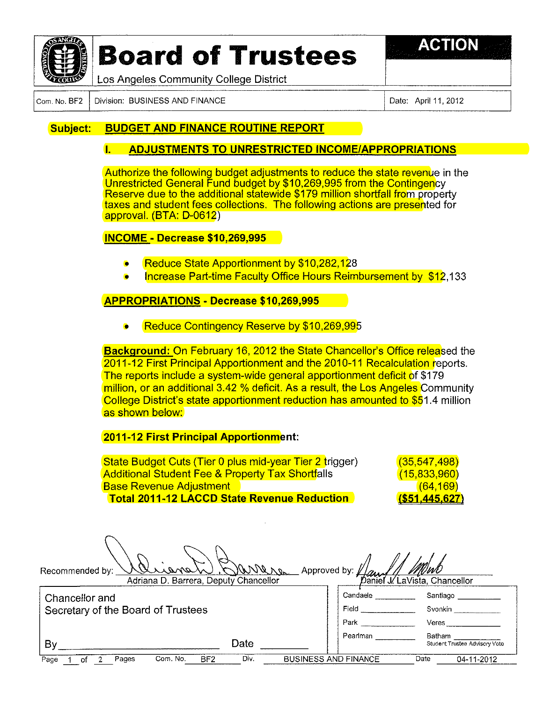

# Board of Trustees **Fig. ACTION**



Los Angeles Community College District

Com. No. BF2 Division: BUSINESS AND FINANCE Date: April 11, 2012

#### Subject: BUDGET AND FINANCE ROUTINE REPORT

#### 1. ADJUSTMENTS TO UNRESTRICTED INCOME/APPROPRIATIONS

Authorize the following budget adjustments to reduce the state revenue in the Unrestricted General Fund budget by \$10,269,995 from the Contingency Reserve due to the additiona! statewide \$179 million shortfall from property taxes and student fees collections. The following actions are presented for approval. (BTA: D-0612)

#### **INCOME - Decrease \$10,269,995**

- Reduce State Apportionment by \$10,282,128
- Increase Part-time Faculty Office Hours Reimbursement by \$12,133

#### APPROPRIATIONS - Decrease \$10,269,995

**Reduce Contingency Reserve by \$10,269,995** 

**Background: On February 16, 2012 the State Chancellor's Office released the** 2011-12 First Principal Apportionment and the 2010-11 Recaiculation reports. The reports include a system-wide general apportionment deficit of \$179 million, or an additional 3.42 % deficit. As a result, the Los Angeles Community College District's state apportionment reduction has amounted to \$51.4 million as shown below:

2011-12 First Principal Apportionment:

State Budget Cuts (Tier 0 plus mid-year Tier 2 trigger) (35,547,498) Additional Student Fee & Property Tax Shortfalls (15,833,960) Base Revenue Adjustment (64,169) Total 2011-12 LACCD State Revenue Reduction (\$51.445.627)

| Recommended by: | Y V<br>$\cdots$ and $\lambda_{n}$    | VIN).<br>OWNerg Approved by: 1/a |  |
|-----------------|--------------------------------------|----------------------------------|--|
|                 | Adriana D. Romaro, Doputy Changellor | $\sum_{i=1}^n$<br>$1/1$ of lines |  |

Adriana D. Barrera, Deputy Chancellor **Chancellor Chancellor Chancellor Chancellor** 

| Chancellor and                                       | Candaele                    | Santiago                                |
|------------------------------------------------------|-----------------------------|-----------------------------------------|
| Secretary of the Board of Trustees                   | Field                       | Svonkin                                 |
|                                                      | Park                        | Veres                                   |
| Date<br>By                                           | Pearlman                    | Batham<br>Student Trustee Advisory Vote |
| Com. No.<br>Div.<br>BF <sub>2</sub><br>Page<br>Pages | <b>BUSINESS AND FINANCE</b> | Date<br>04-11-2012                      |